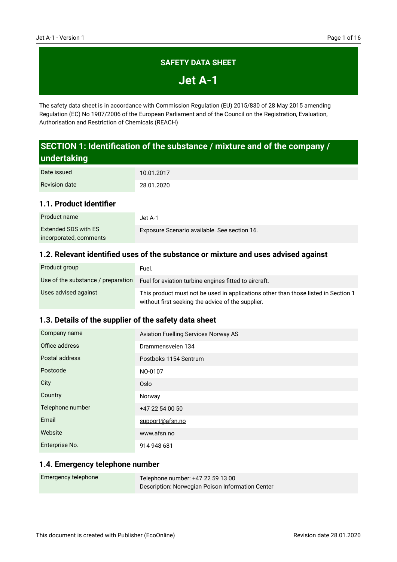### **SAFETY DATA SHEET**

**Jet A-1**

The safety data sheet is in accordance with Commission Regulation (EU) 2015/830 of 28 May 2015 amending Regulation (EC) No 1907/2006 of the European Parliament and of the Council on the Registration, Evaluation, Authorisation and Restriction of Chemicals (REACH)

# **SECTION 1: Identification of the substance / mixture and of the company / undertaking**

| Date issued          | 10.01.2017 |
|----------------------|------------|
| <b>Revision date</b> | 28.01.2020 |

### **1.1. Product identifier**

| Product name           | Jet A-1.                                     |
|------------------------|----------------------------------------------|
| Extended SDS with ES   | Exposure Scenario available. See section 16. |
| incorporated, comments |                                              |

### **1.2. Relevant identified uses of the substance or mixture and uses advised against**

| Product group                      | Fuel.                                                                                                                                   |
|------------------------------------|-----------------------------------------------------------------------------------------------------------------------------------------|
| Use of the substance / preparation | Fuel for aviation turbine engines fitted to aircraft.                                                                                   |
| Uses advised against               | This product must not be used in applications other than those listed in Section 1<br>without first seeking the advice of the supplier. |

#### **1.3. Details of the supplier of the safety data sheet**

| Company name     | <b>Aviation Fuelling Services Norway AS</b> |
|------------------|---------------------------------------------|
| Office address   | Drammensveien 134                           |
| Postal address   | Postboks 1154 Sentrum                       |
| Postcode         | NO-0107                                     |
| City             | Oslo                                        |
| Country          | Norway                                      |
| Telephone number | +47 22 54 00 50                             |
| Email            | support@afsn.no                             |
| Website          | www.afsn.no                                 |
| Enterprise No.   | 914 948 681                                 |

#### **1.4. Emergency telephone number**

| Emergency telephone | Telephone number: +47 22 59 13 00                |  |
|---------------------|--------------------------------------------------|--|
|                     | Description: Norwegian Poison Information Center |  |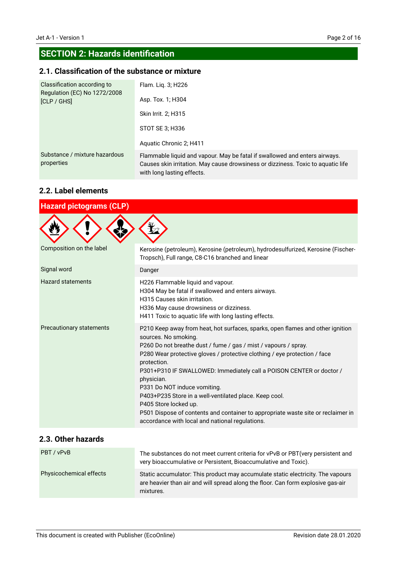# **SECTION 2: Hazards identification**

### **2.1. Classification of the substance or mixture**

| Classification according to<br>Regulation (EC) No 1272/2008<br>[CLP / GHS] | Flam. Liq. 3; H226<br>Asp. Tox. 1; H304                                                                                                                                                      |
|----------------------------------------------------------------------------|----------------------------------------------------------------------------------------------------------------------------------------------------------------------------------------------|
|                                                                            | Skin Irrit. 2; H315                                                                                                                                                                          |
|                                                                            | STOT SE 3; H336                                                                                                                                                                              |
|                                                                            | Aquatic Chronic 2; H411                                                                                                                                                                      |
| Substance / mixture hazardous<br>properties                                | Flammable liquid and vapour. May be fatal if swallowed and enters airways.<br>Causes skin irritation. May cause drowsiness or dizziness. Toxic to aquatic life<br>with long lasting effects. |

### **2.2. Label elements**

| <b>Hazard pictograms (CLP)</b>  |                                                                                                                                                                                                                                                                                                                                                                                                                                                                                                                                                                                                                       |
|---------------------------------|-----------------------------------------------------------------------------------------------------------------------------------------------------------------------------------------------------------------------------------------------------------------------------------------------------------------------------------------------------------------------------------------------------------------------------------------------------------------------------------------------------------------------------------------------------------------------------------------------------------------------|
|                                 |                                                                                                                                                                                                                                                                                                                                                                                                                                                                                                                                                                                                                       |
| Composition on the label        | Kerosine (petroleum), Kerosine (petroleum), hydrodesulfurized, Kerosine (Fischer-<br>Tropsch), Full range, C8-C16 branched and linear                                                                                                                                                                                                                                                                                                                                                                                                                                                                                 |
| Signal word                     | Danger                                                                                                                                                                                                                                                                                                                                                                                                                                                                                                                                                                                                                |
| <b>Hazard statements</b>        | H226 Flammable liquid and vapour.<br>H304 May be fatal if swallowed and enters airways.<br>H315 Causes skin irritation.<br>H336 May cause drowsiness or dizziness.<br>H411 Toxic to aquatic life with long lasting effects.                                                                                                                                                                                                                                                                                                                                                                                           |
| <b>Precautionary statements</b> | P210 Keep away from heat, hot surfaces, sparks, open flames and other ignition<br>sources. No smoking.<br>P260 Do not breathe dust / fume / gas / mist / vapours / spray.<br>P280 Wear protective gloves / protective clothing / eye protection / face<br>protection.<br>P301+P310 IF SWALLOWED: Immediately call a POISON CENTER or doctor /<br>physician.<br>P331 Do NOT induce vomiting.<br>P403+P235 Store in a well-ventilated place. Keep cool.<br>P405 Store locked up.<br>P501 Dispose of contents and container to appropriate waste site or reclaimer in<br>accordance with local and national regulations. |

### **2.3. Other hazards**

| PBT / vPvB                     | The substances do not meet current criteria for vPvB or PBT (very persistent and<br>very bioaccumulative or Persistent, Bioaccumulative and Toxic).                              |
|--------------------------------|----------------------------------------------------------------------------------------------------------------------------------------------------------------------------------|
| <b>Physicochemical effects</b> | Static accumulator: This product may accumulate static electricity. The vapours<br>are heavier than air and will spread along the floor. Can form explosive gas-air<br>mixtures. |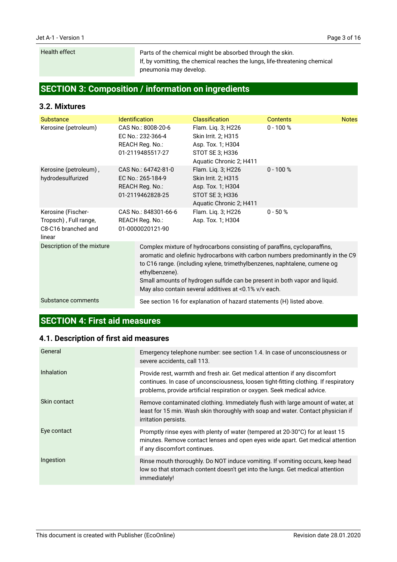#### Health effect

Parts of the chemical might be absorbed through the skin. If, by vomitting, the chemical reaches the lungs, life-threatening chemical pneumonia may develop.

# **SECTION 3: Composition / information on ingredients**

#### **3.2. Mixtures**

| Substance                                                                    | <b>Identification</b> |                                                                                 | <b>Classification</b>                                                                                                             | <b>Contents</b>                                                                                                                                                                                                                           | <b>Notes</b> |
|------------------------------------------------------------------------------|-----------------------|---------------------------------------------------------------------------------|-----------------------------------------------------------------------------------------------------------------------------------|-------------------------------------------------------------------------------------------------------------------------------------------------------------------------------------------------------------------------------------------|--------------|
| Kerosine (petroleum)                                                         |                       | CAS No.: 8008-20-6<br>EC No.: 232-366-4<br>REACH Reg. No.:<br>01-2119485517-27  | Flam. Liq. 3; H226<br>Skin Irrit. 2; H315<br>Asp. Tox. 1; H304<br>STOT SE 3; H336<br>Aquatic Chronic 2; H411                      | $0 - 100 %$                                                                                                                                                                                                                               |              |
| Kerosine (petroleum),<br>hydrodesulfurized                                   |                       | CAS No.: 64742-81-0<br>EC No.: 265-184-9<br>REACH Reg. No.:<br>01-2119462828-25 | Flam. Liq. 3; H226<br>Skin Irrit. 2; H315<br>Asp. Tox. 1; H304<br>STOT SE 3; H336<br>Aquatic Chronic 2; H411                      | $0 - 100 %$                                                                                                                                                                                                                               |              |
| Kerosine (Fischer-<br>Tropsch), Full range,<br>C8-C16 branched and<br>linear |                       | CAS No.: 848301-66-6<br>REACH Reg. No.:<br>01-0000020121-90                     | Flam. Liq. 3; H226<br>Asp. Tox. 1; H304                                                                                           | $0 - 50 %$                                                                                                                                                                                                                                |              |
| Description of the mixture                                                   |                       | ethylbenzene).                                                                  | Complex mixture of hydrocarbons consisting of paraffins, cycloparaffins,<br>May also contain several additives at <0.1% v/v each. | aromatic and olefinic hydrocarbons with carbon numbers predominantly in the C9<br>to C16 range. (including xylene, trimethylbenzenes, naphtalene, cumene og<br>Small amounts of hydrogen sulfide can be present in both vapor and liquid. |              |
| Substance comments                                                           |                       |                                                                                 | See section 16 for explanation of hazard statements (H) listed above.                                                             |                                                                                                                                                                                                                                           |              |

# **SECTION 4: First aid measures**

### **4.1. Description of first aid measures**

| General           | Emergency telephone number: see section 1.4. In case of unconsciousness or<br>severe accidents, call 113.                                                                                                                                       |
|-------------------|-------------------------------------------------------------------------------------------------------------------------------------------------------------------------------------------------------------------------------------------------|
| <b>Inhalation</b> | Provide rest, warmth and fresh air. Get medical attention if any discomfort<br>continues. In case of unconsciousness, loosen tight-fitting clothing. If respiratory<br>problems, provide artificial respiration or oxygen. Seek medical advice. |
| Skin contact      | Remove contaminated clothing. Immediately flush with large amount of water, at<br>least for 15 min. Wash skin thoroughly with soap and water. Contact physician if<br>irritation persists.                                                      |
| Eye contact       | Promptly rinse eyes with plenty of water (tempered at 20-30°C) for at least 15<br>minutes. Remove contact lenses and open eyes wide apart. Get medical attention<br>if any discomfort continues.                                                |
| Ingestion         | Rinse mouth thoroughly. Do NOT induce vomiting. If vomiting occurs, keep head<br>low so that stomach content doesn't get into the lungs. Get medical attention<br>immediately!                                                                  |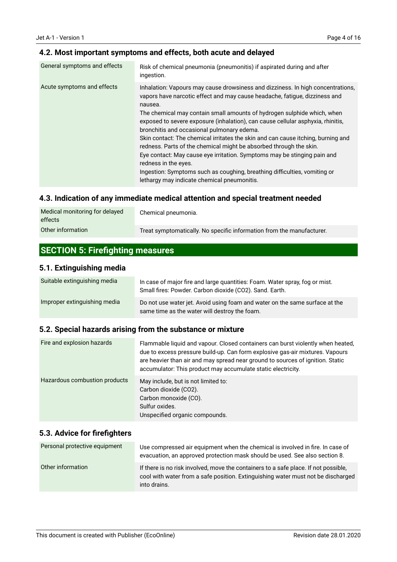### **4.2. Most important symptoms and effects, both acute and delayed**

| General symptoms and effects | Risk of chemical pneumonia (pneumonitis) if aspirated during and after<br>ingestion.                                                                                                                                                                                                                                                                                                                                                                                                                                                                                                                                                                                                                                                                                           |
|------------------------------|--------------------------------------------------------------------------------------------------------------------------------------------------------------------------------------------------------------------------------------------------------------------------------------------------------------------------------------------------------------------------------------------------------------------------------------------------------------------------------------------------------------------------------------------------------------------------------------------------------------------------------------------------------------------------------------------------------------------------------------------------------------------------------|
| Acute symptoms and effects   | Inhalation: Vapours may cause drowsiness and dizziness. In high concentrations,<br>vapors have narcotic effect and may cause headache, fatigue, dizziness and<br>nausea.<br>The chemical may contain small amounts of hydrogen sulphide which, when<br>exposed to severe exposure (inhalation), can cause cellular asphyxia, rhinitis,<br>bronchitis and occasional pulmonary edema.<br>Skin contact: The chemical irritates the skin and can cause itching, burning and<br>redness. Parts of the chemical might be absorbed through the skin.<br>Eye contact: May cause eye irritation. Symptoms may be stinging pain and<br>redness in the eyes.<br>Ingestion: Symptoms such as coughing, breathing difficulties, vomiting or<br>lethargy may indicate chemical pneumonitis. |

### **4.3. Indication of any immediate medical attention and special treatment needed**

| Medical monitoring for delayed<br>effects | Chemical pneumonia.                                                   |
|-------------------------------------------|-----------------------------------------------------------------------|
| Other information                         | Treat symptomatically. No specific information from the manufacturer. |

# **SECTION 5: Firefighting measures**

#### **5.1. Extinguishing media**

| Suitable extinguishing media | In case of major fire and large quantities: Foam. Water spray, fog or mist.<br>Small fires: Powder. Carbon dioxide (CO2). Sand. Earth. |  |
|------------------------------|----------------------------------------------------------------------------------------------------------------------------------------|--|
| Improper extinguishing media | Do not use water jet. Avoid using foam and water on the same surface at the<br>same time as the water will destroy the foam.           |  |

### **5.2. Special hazards arising from the substance or mixture**

| Fire and explosion hazards    | Flammable liquid and vapour. Closed containers can burst violently when heated,<br>due to excess pressure build-up. Can form explosive gas-air mixtures. Vapours<br>are heavier than air and may spread near ground to sources of ignition. Static<br>accumulator: This product may accumulate static electricity. |
|-------------------------------|--------------------------------------------------------------------------------------------------------------------------------------------------------------------------------------------------------------------------------------------------------------------------------------------------------------------|
| Hazardous combustion products | May include, but is not limited to:<br>Carbon dioxide (CO2).<br>Carbon monoxide (CO).<br>Sulfur oxides.<br>Unspecified organic compounds.                                                                                                                                                                          |

#### **5.3. Advice for firefighters**

| Personal protective equipment | Use compressed air equipment when the chemical is involved in fire. In case of<br>evacuation, an approved protection mask should be used. See also section 8.                           |
|-------------------------------|-----------------------------------------------------------------------------------------------------------------------------------------------------------------------------------------|
| Other information             | If there is no risk involved, move the containers to a safe place. If not possible,<br>cool with water from a safe position. Extinguishing water must not be discharged<br>into drains. |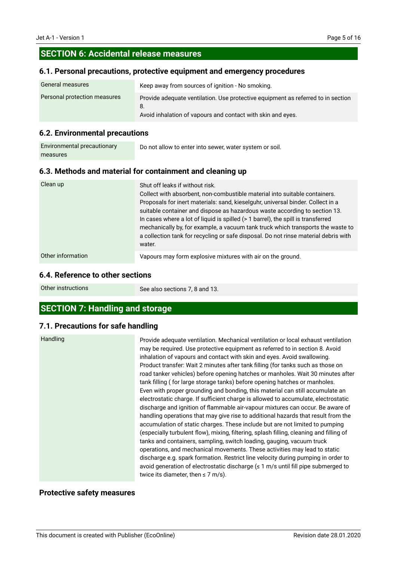### **SECTION 6: Accidental release measures**

#### **6.1. Personal precautions, protective equipment and emergency procedures**

| <b>General measures</b>      | Keep away from sources of ignition - No smoking.                                                                                                      |  |
|------------------------------|-------------------------------------------------------------------------------------------------------------------------------------------------------|--|
| Personal protection measures | Provide adequate ventilation. Use protective equipment as referred to in section<br>8.<br>Avoid inhalation of vapours and contact with skin and eyes. |  |

#### **6.2. Environmental precautions**

| Environmental precautionary | Do not allow to enter into sewer, water system or soil. |
|-----------------------------|---------------------------------------------------------|
| measures                    |                                                         |

#### **6.3. Methods and material for containment and cleaning up**

| Clean up          | Shut off leaks if without risk.<br>Collect with absorbent, non-combustible material into suitable containers.<br>Proposals for inert materials: sand, kieselguhr, universal binder. Collect in a<br>suitable container and dispose as hazardous waste according to section 13.<br>In cases where a lot of liquid is spilled (> 1 barrel), the spill is transferred<br>mechanically by, for example, a vacuum tank truck which transports the waste to<br>a collection tank for recycling or safe disposal. Do not rinse material debris with<br>water. |
|-------------------|--------------------------------------------------------------------------------------------------------------------------------------------------------------------------------------------------------------------------------------------------------------------------------------------------------------------------------------------------------------------------------------------------------------------------------------------------------------------------------------------------------------------------------------------------------|
| Other information | Vapours may form explosive mixtures with air on the ground.                                                                                                                                                                                                                                                                                                                                                                                                                                                                                            |

#### **6.4. Reference to other sections**

Other instructions

See also sections 7, 8 and 13.

### **SECTION 7: Handling and storage**

#### **7.1. Precautions for safe handling**

| <b>Handling</b> |  |
|-----------------|--|
|-----------------|--|

Provide adequate ventilation. Mechanical ventilation or local exhaust ventilation may be required. Use protective equipment as referred to in section 8. Avoid inhalation of vapours and contact with skin and eyes. Avoid swallowing. Product transfer: Wait 2 minutes after tank filling (for tanks such as those on road tanker vehicles) before opening hatches or manholes. Wait 30 minutes after tank filling ( for large storage tanks) before opening hatches or manholes. Even with proper grounding and bonding, this material can still accumulate an electrostatic charge. If sufficient charge is allowed to accumulate, electrostatic discharge and ignition of flammable air-vapour mixtures can occur. Be aware of handling operations that may give rise to additional hazards that result from the accumulation of static charges. These include but are not limited to pumping (especially turbulent flow), mixing, filtering, splash filling, cleaning and filling of tanks and containers, sampling, switch loading, gauging, vacuum truck operations, and mechanical movements. These activities may lead to static discharge e.g. spark formation. Restrict line velocity during pumping in order to avoid generation of electrostatic discharge  $(\leq 1 \text{ m/s}$  until fill pipe submerged to twice its diameter, then  $\leq$  7 m/s).

#### **Protective safety measures**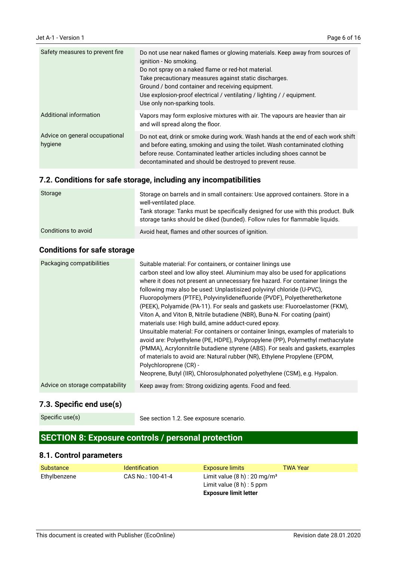| Safety measures to prevent fire           | Do not use near naked flames or glowing materials. Keep away from sources of<br>ignition - No smoking.<br>Do not spray on a naked flame or red-hot material.<br>Take precautionary measures against static discharges.<br>Ground / bond container and receiving equipment.<br>Use explosion-proof electrical / ventilating / lighting / / equipment.<br>Use only non-sparking tools. |
|-------------------------------------------|--------------------------------------------------------------------------------------------------------------------------------------------------------------------------------------------------------------------------------------------------------------------------------------------------------------------------------------------------------------------------------------|
| Additional information                    | Vapors may form explosive mixtures with air. The vapours are heavier than air<br>and will spread along the floor.                                                                                                                                                                                                                                                                    |
| Advice on general occupational<br>hygiene | Do not eat, drink or smoke during work. Wash hands at the end of each work shift<br>and before eating, smoking and using the toilet. Wash contaminated clothing<br>before reuse. Contaminated leather articles including shoes cannot be<br>decontaminated and should be destroyed to prevent reuse.                                                                                 |

### **7.2. Conditions for safe storage, including any incompatibilities**

| Storage             | Storage on barrels and in small containers: Use approved containers. Store in a<br>well-ventilated place.<br>Tank storage: Tanks must be specifically designed for use with this product. Bulk<br>storage tanks should be diked (bunded). Follow rules for flammable liquids. |
|---------------------|-------------------------------------------------------------------------------------------------------------------------------------------------------------------------------------------------------------------------------------------------------------------------------|
|                     |                                                                                                                                                                                                                                                                               |
| Conditions to avoid | Avoid heat, flames and other sources of ignition.                                                                                                                                                                                                                             |

### **Conditions for safe storage**

| Packaging compatibilities       | Suitable material: For containers, or container linings use<br>carbon steel and low alloy steel. Aluminium may also be used for applications<br>where it does not present an unnecessary fire hazard. For container linings the<br>following may also be used: Unplastisized polyvinyl chloride (U-PVC),<br>Fluoropolymers (PTFE), Polyvinylidenefluoride (PVDF), Polyetheretherketone<br>(PEEK), Polyamide (PA-11). For seals and gaskets use: Fluoroelastomer (FKM),<br>Viton A, and Viton B, Nitrile butadiene (NBR), Buna-N. For coating (paint)<br>materials use: High build, amine adduct-cured epoxy.<br>Unsuitable material: For containers or container linings, examples of materials to<br>avoid are: Polyethylene (PE, HDPE), Polypropylene (PP), Polymethyl methacrylate<br>(PMMA), Acrylonnitrile butadiene styrene (ABS). For seals and gaskets, examples<br>of materials to avoid are: Natural rubber (NR), Ethylene Propylene (EPDM,<br>Polychloroprene (CR) -<br>Neoprene, Butyl (IIR), Chlorosulphonated polyethylene (CSM), e.g. Hypalon. |
|---------------------------------|---------------------------------------------------------------------------------------------------------------------------------------------------------------------------------------------------------------------------------------------------------------------------------------------------------------------------------------------------------------------------------------------------------------------------------------------------------------------------------------------------------------------------------------------------------------------------------------------------------------------------------------------------------------------------------------------------------------------------------------------------------------------------------------------------------------------------------------------------------------------------------------------------------------------------------------------------------------------------------------------------------------------------------------------------------------|
| Advice on storage compatability | Keep away from: Strong oxidizing agents. Food and feed.                                                                                                                                                                                                                                                                                                                                                                                                                                                                                                                                                                                                                                                                                                                                                                                                                                                                                                                                                                                                       |

### **7.3. Specific end use(s)**

```
Specific use(s)
```
See section 1.2. See exposure scenario.

# **SECTION 8: Exposure controls / personal protection**

### **8.1. Control parameters**

| Substance    | <b>Identification</b> | Exposure limits                            | <b>TWA Year</b> |
|--------------|-----------------------|--------------------------------------------|-----------------|
| Ethylbenzene | CAS No.: 100-41-4     | Limit value $(8 h)$ : 20 mg/m <sup>3</sup> |                 |
|              |                       | Limit value $(8 h)$ : 5 ppm                |                 |
|              |                       | <b>Exposure limit letter</b>               |                 |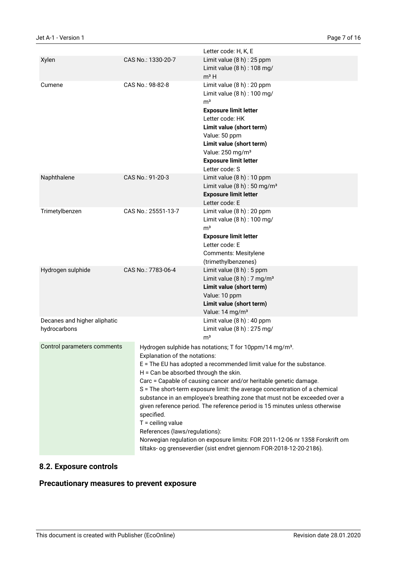|                                              |                                   | Letter code: H, K, E                                                                                                                                                                                                                                                                                                                                                                                                                                                                                                                                                                                                                                                                                                             |  |
|----------------------------------------------|-----------------------------------|----------------------------------------------------------------------------------------------------------------------------------------------------------------------------------------------------------------------------------------------------------------------------------------------------------------------------------------------------------------------------------------------------------------------------------------------------------------------------------------------------------------------------------------------------------------------------------------------------------------------------------------------------------------------------------------------------------------------------------|--|
| Xylen                                        | CAS No.: 1330-20-7                | Limit value (8 h) : 25 ppm<br>Limit value (8 h) : 108 mg/<br>$m3$ H                                                                                                                                                                                                                                                                                                                                                                                                                                                                                                                                                                                                                                                              |  |
| Cumene                                       | CAS No.: 98-82-8                  | Limit value (8 h) : 20 ppm<br>Limit value (8 h) : 100 mg/<br>m <sup>3</sup><br><b>Exposure limit letter</b><br>Letter code: HK<br>Limit value (short term)<br>Value: 50 ppm<br>Limit value (short term)<br>Value: 250 mg/m <sup>3</sup><br><b>Exposure limit letter</b><br>Letter code: S                                                                                                                                                                                                                                                                                                                                                                                                                                        |  |
| Naphthalene                                  | CAS No.: 91-20-3                  | Limit value (8 h) : 10 ppm<br>Limit value $(8 h)$ : 50 mg/m <sup>3</sup><br><b>Exposure limit letter</b><br>Letter code: E                                                                                                                                                                                                                                                                                                                                                                                                                                                                                                                                                                                                       |  |
| Trimetylbenzen                               | CAS No.: 25551-13-7               | Limit value (8 h) : 20 ppm<br>Limit value (8 h) : 100 mg/<br>m <sup>3</sup><br><b>Exposure limit letter</b><br>Letter code: E<br><b>Comments: Mesitylene</b><br>(trimethylbenzenes)                                                                                                                                                                                                                                                                                                                                                                                                                                                                                                                                              |  |
| Hydrogen sulphide                            | CAS No.: 7783-06-4                | Limit value $(8 h)$ : 5 ppm<br>Limit value $(8 h)$ : 7 mg/m <sup>3</sup><br>Limit value (short term)<br>Value: 10 ppm<br>Limit value (short term)<br>Value: 14 mg/m <sup>3</sup>                                                                                                                                                                                                                                                                                                                                                                                                                                                                                                                                                 |  |
| Decanes and higher aliphatic<br>hydrocarbons |                                   | Limit value (8 h) : 40 ppm<br>Limit value (8 h) : 275 mg/<br>m <sup>3</sup>                                                                                                                                                                                                                                                                                                                                                                                                                                                                                                                                                                                                                                                      |  |
| Control parameters comments                  | specified.<br>$T =$ ceiling value | Hydrogen sulphide has notations; T for 10ppm/14 mg/m <sup>3</sup> .<br>Explanation of the notations:<br>E = The EU has adopted a recommended limit value for the substance.<br>$H = Can be absorbed through the skin.$<br>Carc = Capable of causing cancer and/or heritable genetic damage.<br>S = The short-term exposure limit: the average concentration of a chemical<br>substance in an employee's breathing zone that must not be exceeded over a<br>given reference period. The reference period is 15 minutes unless otherwise<br>References (laws/regulations):<br>Norwegian regulation on exposure limits: FOR 2011-12-06 nr 1358 Forskrift om<br>tiltaks- og grenseverdier (sist endret gjennom FOR-2018-12-20-2186). |  |

# **8.2. Exposure controls**

### **Precautionary measures to prevent exposure**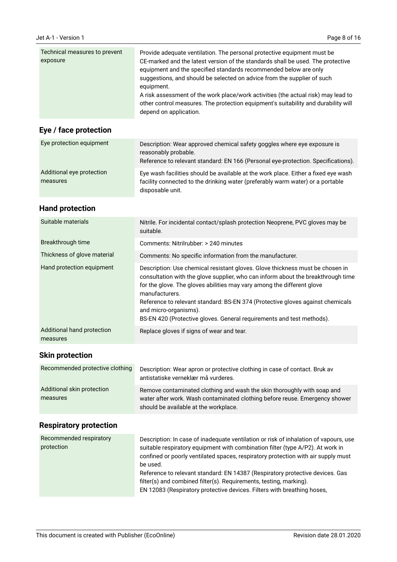| Technical measures to prevent<br>exposure | Provide adequate ventilation. The personal protective equipment must be<br>CE-marked and the latest version of the standards shall be used. The protective<br>equipment and the specified standards recommended below are only |
|-------------------------------------------|--------------------------------------------------------------------------------------------------------------------------------------------------------------------------------------------------------------------------------|
|                                           | suggestions, and should be selected on advice from the supplier of such<br>equipment.<br>A risk assessment of the work place/work activities (the actual risk) may lead to                                                     |
|                                           | other control measures. The protection equipment's suitability and durability will<br>depend on application.                                                                                                                   |

# **Eye / face protection**

| Eye protection equipment              | Description: Wear approved chemical safety goggles where eye exposure is<br>reasonably probable.<br>Reference to relevant standard: EN 166 (Personal eye-protection. Specifications).    |
|---------------------------------------|------------------------------------------------------------------------------------------------------------------------------------------------------------------------------------------|
| Additional eye protection<br>measures | Eye wash facilities should be available at the work place. Either a fixed eye wash<br>facility connected to the drinking water (preferably warm water) or a portable<br>disposable unit. |

### **Hand protection**

| Suitable materials                     | Nitrile. For incidental contact/splash protection Neoprene, PVC gloves may be<br>suitable.                                                                                                                                                                                                                                                                                                                                                        |
|----------------------------------------|---------------------------------------------------------------------------------------------------------------------------------------------------------------------------------------------------------------------------------------------------------------------------------------------------------------------------------------------------------------------------------------------------------------------------------------------------|
| Breakthrough time                      | Comments: Nitrilrubber: > 240 minutes                                                                                                                                                                                                                                                                                                                                                                                                             |
| Thickness of glove material            | Comments: No specific information from the manufacturer.                                                                                                                                                                                                                                                                                                                                                                                          |
| Hand protection equipment              | Description: Use chemical resistant gloves. Glove thickness must be chosen in<br>consultation with the glove supplier, who can inform about the breakthrough time<br>for the glove. The gloves abilities may vary among the different glove<br>manufacturers.<br>Reference to relevant standard: BS-EN 374 (Protective gloves against chemicals<br>and micro-organisms).<br>BS-EN 420 (Protective gloves. General requirements and test methods). |
| Additional hand protection<br>measures | Replace gloves if signs of wear and tear.                                                                                                                                                                                                                                                                                                                                                                                                         |

### **Skin protection**

| Recommended protective clothing | Description: Wear apron or protective clothing in case of contact. Bruk av<br>antistatiske verneklær må vurderes. |
|---------------------------------|-------------------------------------------------------------------------------------------------------------------|
| Additional skin protection      | Remove contaminated clothing and wash the skin thoroughly with soap and                                           |
| measures                        | water after work. Wash contaminated clothing before reuse. Emergency shower                                       |
|                                 | should be available at the workplace.                                                                             |

# **Respiratory protection**

| Recommended respiratory<br>protection | Description: In case of inadequate ventilation or risk of inhalation of vapours, use<br>suitable respiratory equipment with combination filter (type A/P2). At work in<br>confined or poorly ventilated spaces, respiratory protection with air supply must<br>be used.<br>Reference to relevant standard: EN 14387 (Respiratory protective devices. Gas<br>filter(s) and combined filter(s). Requirements, testing, marking).<br>EN 12083 (Respiratory protective devices. Filters with breathing hoses, |
|---------------------------------------|-----------------------------------------------------------------------------------------------------------------------------------------------------------------------------------------------------------------------------------------------------------------------------------------------------------------------------------------------------------------------------------------------------------------------------------------------------------------------------------------------------------|
|---------------------------------------|-----------------------------------------------------------------------------------------------------------------------------------------------------------------------------------------------------------------------------------------------------------------------------------------------------------------------------------------------------------------------------------------------------------------------------------------------------------------------------------------------------------|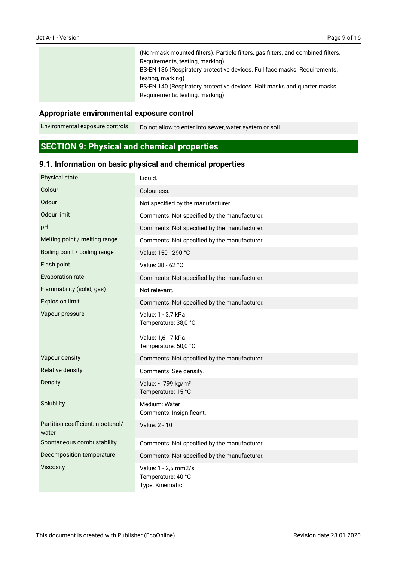| (Non-mask mounted filters). Particle filters, gas filters, and combined filters.<br>Requirements, testing, marking). |
|----------------------------------------------------------------------------------------------------------------------|
| BS-EN 136 (Respiratory protective devices. Full face masks. Requirements,<br>testing, marking)                       |
| BS-EN 140 (Respiratory protective devices. Half masks and quarter masks.<br>Requirements, testing, marking)          |

#### **Appropriate environmental exposure control**

Do not allow to enter into sewer, water system or soil. Environmental exposure controls

# **SECTION 9: Physical and chemical properties**

### **9.1. Information on basic physical and chemical properties**

| Physical state                             | Liquid.                                                       |
|--------------------------------------------|---------------------------------------------------------------|
| Colour                                     | Colourless.                                                   |
| Odour                                      | Not specified by the manufacturer.                            |
| Odour limit                                | Comments: Not specified by the manufacturer.                  |
| pH                                         | Comments: Not specified by the manufacturer.                  |
| Melting point / melting range              | Comments: Not specified by the manufacturer.                  |
| Boiling point / boiling range              | Value: 150 - 290 °C                                           |
| Flash point                                | Value: 38 - 62 °C                                             |
| <b>Evaporation rate</b>                    | Comments: Not specified by the manufacturer.                  |
| Flammability (solid, gas)                  | Not relevant.                                                 |
| <b>Explosion limit</b>                     | Comments: Not specified by the manufacturer.                  |
| Vapour pressure                            | Value: 1 - 3,7 kPa<br>Temperature: 38,0 °C                    |
|                                            | Value: 1,6 - 7 kPa<br>Temperature: 50,0 °C                    |
| Vapour density                             | Comments: Not specified by the manufacturer.                  |
| Relative density                           | Comments: See density.                                        |
| Density                                    | Value: ~ 799 kg/m <sup>3</sup><br>Temperature: 15 °C          |
| Solubility                                 | Medium: Water<br>Comments: Insignificant.                     |
| Partition coefficient: n-octanol/<br>water | Value: 2 - 10                                                 |
| Spontaneous combustability                 | Comments: Not specified by the manufacturer.                  |
| Decomposition temperature                  | Comments: Not specified by the manufacturer.                  |
| Viscosity                                  | Value: 1 - 2,5 mm2/s<br>Temperature: 40 °C<br>Type: Kinematic |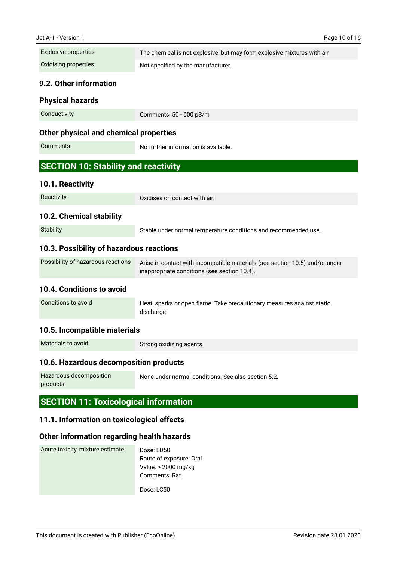| Explosive properties | The chemical is not explosive, but may form explosive mixtures with air. |
|----------------------|--------------------------------------------------------------------------|
| Oxidising properties | Not specified by the manufacturer.                                       |

#### **9.2. Other information**

#### **Physical hazards**

| Conductivity | Comments: 50 - 600 pS/m |
|--------------|-------------------------|
|--------------|-------------------------|

#### **Other physical and chemical properties**

```
Comments
```
No further information is available.

### **SECTION 10: Stability and reactivity**

#### **10.1. Reactivity**

| Reactivity |  |
|------------|--|

Oxidises on contact with air.

#### **10.2. Chemical stability**

| Stable under normal temperature conditions and recommended use. |
|-----------------------------------------------------------------|
|                                                                 |

#### **10.3. Possibility of hazardous reactions**

| Possibility of hazardous reactions | Arise in contact with incompatible materials (see section 10.5) and/or under<br>inappropriate conditions (see section 10.4). |
|------------------------------------|------------------------------------------------------------------------------------------------------------------------------|
|                                    |                                                                                                                              |

#### **10.4. Conditions to avoid**

Heat, sparks or open flame. Take precautionary measures against static discharge. Conditions to avoid

#### **10.5. Incompatible materials**

| Materials to avoid |  |
|--------------------|--|
|                    |  |

Strong oxidizing agents.

#### **10.6. Hazardous decomposition products**

```
None under normal conditions. See also section 5.2.
Hazardous decomposition
products
```
#### **SECTION 11: Toxicological information**

#### **11.1. Information on toxicological effects**

#### **Other information regarding health hazards**

| Acute toxicity, mixture estimate | Dose: LD50              |
|----------------------------------|-------------------------|
|                                  | Route of exposure: Oral |
|                                  | Value: > 2000 mg/kg     |
|                                  | <b>Comments: Rat</b>    |
|                                  | Dose: LC50              |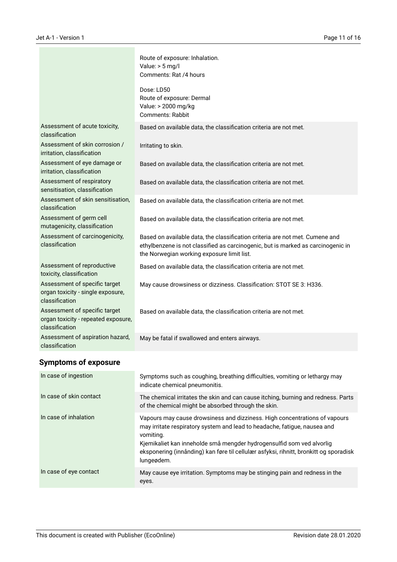|                                                                                        | Route of exposure: Inhalation.<br>Value: $> 5$ mg/l<br>Comments: Rat /4 hours                                                                                                                                  |
|----------------------------------------------------------------------------------------|----------------------------------------------------------------------------------------------------------------------------------------------------------------------------------------------------------------|
|                                                                                        | Dose: LD50<br>Route of exposure: Dermal<br>Value: > 2000 mg/kg<br><b>Comments: Rabbit</b>                                                                                                                      |
| Assessment of acute toxicity,<br>classification                                        | Based on available data, the classification criteria are not met.                                                                                                                                              |
| Assessment of skin corrosion /<br>irritation, classification                           | Irritating to skin.                                                                                                                                                                                            |
| Assessment of eye damage or<br>irritation, classification                              | Based on available data, the classification criteria are not met.                                                                                                                                              |
| Assessment of respiratory<br>sensitisation, classification                             | Based on available data, the classification criteria are not met.                                                                                                                                              |
| Assessment of skin sensitisation,<br>classification                                    | Based on available data, the classification criteria are not met.                                                                                                                                              |
| Assessment of germ cell<br>mutagenicity, classification                                | Based on available data, the classification criteria are not met.                                                                                                                                              |
| Assessment of carcinogenicity,<br>classification                                       | Based on available data, the classification criteria are not met. Cumene and<br>ethylbenzene is not classified as carcinogenic, but is marked as carcinogenic in<br>the Norwegian working exposure limit list. |
| Assessment of reproductive<br>toxicity, classification                                 | Based on available data, the classification criteria are not met.                                                                                                                                              |
| Assessment of specific target<br>organ toxicity - single exposure,<br>classification   | May cause drowsiness or dizziness. Classification: STOT SE 3: H336.                                                                                                                                            |
| Assessment of specific target<br>organ toxicity - repeated exposure,<br>classification | Based on available data, the classification criteria are not met.                                                                                                                                              |
| Assessment of aspiration hazard,<br>classification                                     | May be fatal if swallowed and enters airways.                                                                                                                                                                  |

# **Symptoms of exposure**

| In case of ingestion    | Symptoms such as coughing, breathing difficulties, vomiting or lethargy may<br>indicate chemical pneumonitis.                                                                                                                                                                                                                                        |
|-------------------------|------------------------------------------------------------------------------------------------------------------------------------------------------------------------------------------------------------------------------------------------------------------------------------------------------------------------------------------------------|
| In case of skin contact | The chemical irritates the skin and can cause itching, burning and redness. Parts<br>of the chemical might be absorbed through the skin.                                                                                                                                                                                                             |
| In case of inhalation   | Vapours may cause drowsiness and dizziness. High concentrations of vapours<br>may irritate respiratory system and lead to headache, fatigue, nausea and<br>vomiting.<br>Kjemikaliet kan inneholde små mengder hydrogensulfid som ved alvorlig<br>eksponering (innånding) kan føre til cellulær asfyksi, rihnitt, bronkitt og sporadisk<br>lungeødem. |
| In case of eye contact  | May cause eye irritation. Symptoms may be stinging pain and redness in the<br>eyes.                                                                                                                                                                                                                                                                  |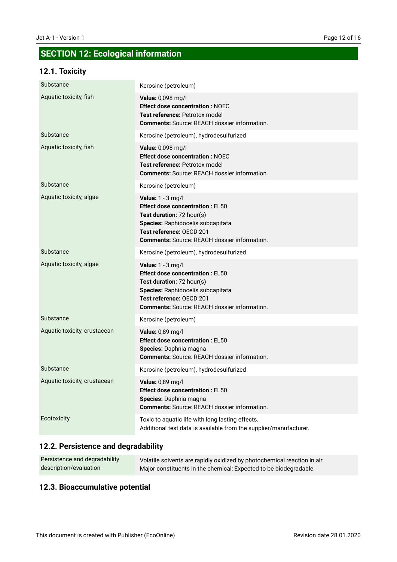# **SECTION 12: Ecological information**

### **12.1. Toxicity**

| Substance                    | Kerosine (petroleum)                                                                                                                                                                                             |
|------------------------------|------------------------------------------------------------------------------------------------------------------------------------------------------------------------------------------------------------------|
| Aquatic toxicity, fish       | Value: 0,098 mg/l<br><b>Effect dose concentration: NOEC</b><br>Test reference: Petrotox model<br><b>Comments:</b> Source: REACH dossier information.                                                             |
| Substance                    | Kerosine (petroleum), hydrodesulfurized                                                                                                                                                                          |
| Aquatic toxicity, fish       | Value: 0,098 mg/l<br><b>Effect dose concentration: NOEC</b><br>Test reference: Petrotox model<br><b>Comments: Source: REACH dossier information.</b>                                                             |
| Substance                    | Kerosine (petroleum)                                                                                                                                                                                             |
| Aquatic toxicity, algae      | Value: 1 - 3 mg/l<br><b>Effect dose concentration: EL50</b><br>Test duration: 72 hour(s)<br>Species: Raphidocelis subcapitata<br>Test reference: OECD 201<br><b>Comments: Source: REACH dossier information.</b> |
| Substance                    | Kerosine (petroleum), hydrodesulfurized                                                                                                                                                                          |
| Aquatic toxicity, algae      | Value: 1 - 3 mg/l<br><b>Effect dose concentration: EL50</b><br>Test duration: 72 hour(s)<br>Species: Raphidocelis subcapitata<br>Test reference: OECD 201<br><b>Comments: Source: REACH dossier information.</b> |
| Substance                    | Kerosine (petroleum)                                                                                                                                                                                             |
| Aquatic toxicity, crustacean | Value: 0,89 mg/l<br><b>Effect dose concentration: EL50</b><br>Species: Daphnia magna<br><b>Comments:</b> Source: REACH dossier information.                                                                      |
| Substance                    | Kerosine (petroleum), hydrodesulfurized                                                                                                                                                                          |
| Aquatic toxicity, crustacean | Value: 0,89 mg/l<br><b>Effect dose concentration: EL50</b><br>Species: Daphnia magna<br><b>Comments: Source: REACH dossier information.</b>                                                                      |
| Ecotoxicity                  | Toxic to aquatic life with long lasting effects.<br>Additional test data is available from the supplier/manufacturer.                                                                                            |

### **12.2. Persistence and degradability**

| Persistence and degradability | Volatile solvents are rapidly oxidized by photochemical reaction in air. |
|-------------------------------|--------------------------------------------------------------------------|
| description/evaluation        | Major constituents in the chemical; Expected to be biodegradable.        |

### **12.3. Bioaccumulative potential**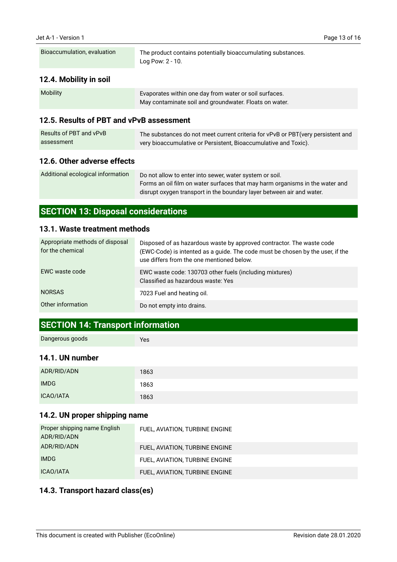| Bioaccumulation, evaluation | The product contains potentially bioaccumulating substances.<br>Log Pow: 2 - 10. |
|-----------------------------|----------------------------------------------------------------------------------|
|-----------------------------|----------------------------------------------------------------------------------|

### **12.4. Mobility in soil**

| <b>Mobility</b> | Evaporates within one day from water or soil surfaces. |
|-----------------|--------------------------------------------------------|
|                 | May contaminate soil and groundwater. Floats on water. |

### **12.5. Results of PBT and vPvB assessment**

| Results of PBT and vPvB | The substances do not meet current criteria for vPvB or PBT (very persistent and |
|-------------------------|----------------------------------------------------------------------------------|
| assessment              | very bioaccumulative or Persistent, Bioaccumulative and Toxic).                  |

### **12.6. Other adverse effects**

| Additional ecological information | Do not allow to enter into sewer, water system or soil.                      |  |
|-----------------------------------|------------------------------------------------------------------------------|--|
|                                   | Forms an oil film on water surfaces that may harm organisms in the water and |  |
|                                   | disrupt oxygen transport in the boundary layer between air and water.        |  |

# **SECTION 13: Disposal considerations**

#### **13.1. Waste treatment methods**

| Appropriate methods of disposal<br>for the chemical | Disposed of as hazardous waste by approved contractor. The waste code<br>(EWC-Code) is intented as a guide. The code must be chosen by the user, if the<br>use differs from the one mentioned below. |
|-----------------------------------------------------|------------------------------------------------------------------------------------------------------------------------------------------------------------------------------------------------------|
| EWC waste code                                      | EWC waste code: 130703 other fuels (including mixtures)<br>Classified as hazardous waste: Yes                                                                                                        |
| <b>NORSAS</b>                                       | 7023 Fuel and heating oil.                                                                                                                                                                           |
| Other information                                   | Do not empty into drains.                                                                                                                                                                            |

### **SECTION 14: Transport information**

Yes

#### **14.1. UN number**

| ADR/RID/ADN      | 1863 |
|------------------|------|
| <b>IMDG</b>      | 1863 |
| <b>ICAO/IATA</b> | 1863 |

### **14.2. UN proper shipping name**

| Proper shipping name English<br>ADR/RID/ADN | FUEL, AVIATION, TURBINE ENGINE |
|---------------------------------------------|--------------------------------|
| ADR/RID/ADN                                 | FUEL, AVIATION, TURBINE ENGINE |
| <b>IMDG</b>                                 | FUEL, AVIATION, TURBINE ENGINE |
| ICAO/IATA                                   | FUEL, AVIATION, TURBINE ENGINE |

### **14.3. Transport hazard class(es)**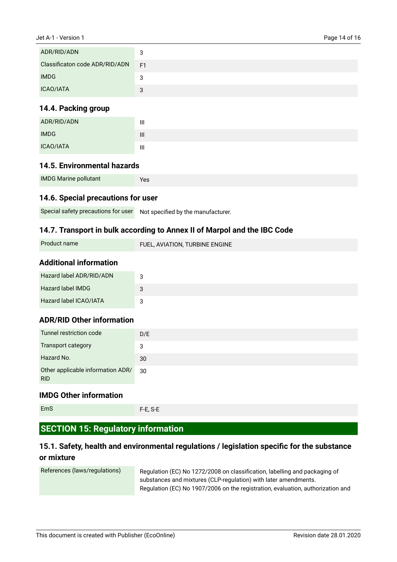| ADR/RID/ADN                    | 3              |
|--------------------------------|----------------|
| Classificaton code ADR/RID/ADN | F <sub>1</sub> |
| <b>IMDG</b>                    | 3              |
| <b>ICAO/IATA</b>               | 3              |

#### **14.4. Packing group**

| ADR/RID/ADN | III                                   |
|-------------|---------------------------------------|
| <b>IMDG</b> | $\mathbf{III}$                        |
| ICAO/IATA   | $\begin{array}{c} \hline \end{array}$ |

#### **14.5. Environmental hazards**

| <b>IMDG Marine pollutant</b><br>Yes |
|-------------------------------------|
|-------------------------------------|

#### **14.6. Special precautions for user**

Special safety precautions for user Not specified by the manufacturer.

#### **14.7. Transport in bulk according to Annex II of Marpol and the IBC Code**

### **Additional information**

| Hazard label ADR/RID/ADN | ບ |
|--------------------------|---|
| <b>Hazard label IMDG</b> | 3 |
| Hazard label ICAO/IATA   |   |

### **ADR/RID Other information**

| Tunnel restriction code                         | D/E |
|-------------------------------------------------|-----|
| Transport category                              | 3   |
| Hazard No.                                      | 30  |
| Other applicable information ADR/<br><b>RID</b> | 30  |

#### **IMDG Other information**

```
EmS
```
F-E, S-E

# **SECTION 15: Regulatory information**

### **15.1. Safety, health and environmental regulations / legislation specific for the substance or mixture**

| References (laws/regulations) | Regulation (EC) No 1272/2008 on classification, labelling and packaging of      |
|-------------------------------|---------------------------------------------------------------------------------|
|                               | substances and mixtures (CLP-regulation) with later amendments.                 |
|                               | Regulation (EC) No 1907/2006 on the registration, evaluation, authorization and |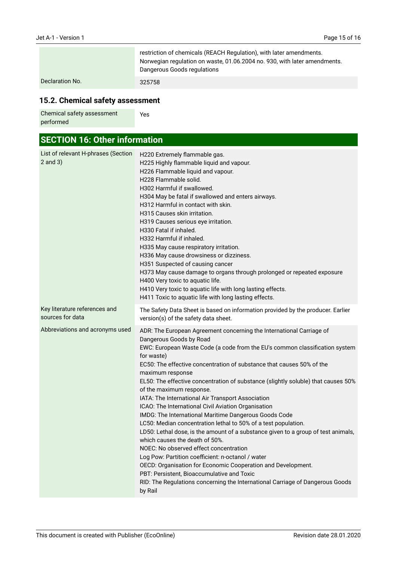|                 | restriction of chemicals (REACH Regulation), with later amendments.<br>Norwegian regulation on waste, 01.06.2004 no. 930, with later amendments.<br>Dangerous Goods regulations |
|-----------------|---------------------------------------------------------------------------------------------------------------------------------------------------------------------------------|
| Declaration No. | 325758                                                                                                                                                                          |

# **15.2. Chemical safety assessment**

| Chemical safety assessment | Yes |
|----------------------------|-----|
| performed                  |     |

| <b>SECTION 16: Other information</b>                |                                                                                                                                                                                                                                                                                                                                                                                                                                                                                                                                                                                                                                                                                                                                                                                                                                                                                                                                                                                                                                                                                   |
|-----------------------------------------------------|-----------------------------------------------------------------------------------------------------------------------------------------------------------------------------------------------------------------------------------------------------------------------------------------------------------------------------------------------------------------------------------------------------------------------------------------------------------------------------------------------------------------------------------------------------------------------------------------------------------------------------------------------------------------------------------------------------------------------------------------------------------------------------------------------------------------------------------------------------------------------------------------------------------------------------------------------------------------------------------------------------------------------------------------------------------------------------------|
| List of relevant H-phrases (Section<br>$2$ and $3)$ | H220 Extremely flammable gas.<br>H225 Highly flammable liquid and vapour.<br>H226 Flammable liquid and vapour.<br>H228 Flammable solid.<br>H302 Harmful if swallowed.<br>H304 May be fatal if swallowed and enters airways.<br>H312 Harmful in contact with skin.<br>H315 Causes skin irritation.<br>H319 Causes serious eye irritation.<br>H330 Fatal if inhaled.<br>H332 Harmful if inhaled.<br>H335 May cause respiratory irritation.<br>H336 May cause drowsiness or dizziness.<br>H351 Suspected of causing cancer<br>H373 May cause damage to organs through prolonged or repeated exposure<br>H400 Very toxic to aquatic life.<br>H410 Very toxic to aquatic life with long lasting effects.<br>H411 Toxic to aquatic life with long lasting effects.                                                                                                                                                                                                                                                                                                                      |
| Key literature references and<br>sources for data   | The Safety Data Sheet is based on information provided by the producer. Earlier<br>version(s) of the safety data sheet.                                                                                                                                                                                                                                                                                                                                                                                                                                                                                                                                                                                                                                                                                                                                                                                                                                                                                                                                                           |
| Abbreviations and acronyms used                     | ADR: The European Agreement concerning the International Carriage of<br>Dangerous Goods by Road<br>EWC: European Waste Code (a code from the EU's common classification system<br>for waste)<br>EC50: The effective concentration of substance that causes 50% of the<br>maximum response<br>EL50: The effective concentration of substance (slightly soluble) that causes 50%<br>of the maximum response.<br>IATA: The International Air Transport Association<br>ICAO: The International Civil Aviation Organisation<br>IMDG: The International Maritime Dangerous Goods Code<br>LC50: Median concentration lethal to 50% of a test population.<br>LD50: Lethal dose, is the amount of a substance given to a group of test animals,<br>which causes the death of 50%.<br>NOEC: No observed effect concentration<br>Log Pow: Partition coefficient: n-octanol / water<br>OECD: Organisation for Economic Cooperation and Development.<br>PBT: Persistent, Bioaccumulative and Toxic<br>RID: The Regulations concerning the International Carriage of Dangerous Goods<br>by Rail |